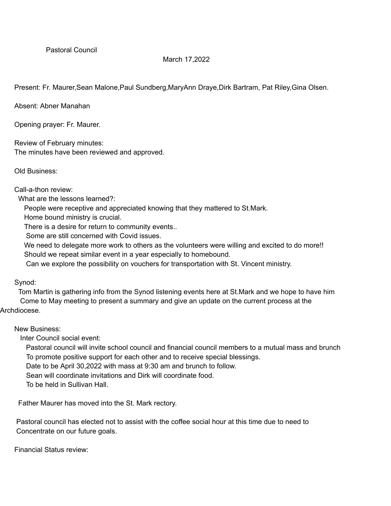## March 17,2022

Present: Fr. Maurer,Sean Malone,Paul Sundberg,MaryAnn Draye,Dirk Bartram, Pat Riley,Gina Olsen.

Absent: Abner Manahan

Opening prayer: Fr. Maurer.

Review of February minutes: The minutes have been reviewed and approved.

Old Business:

Call-a-thon review:

What are the lessons learned?:

People were receptive and appreciated knowing that they mattered to St.Mark.

Home bound ministry is crucial.

There is a desire for return to community events..

Some are still concerned with Covid issues.

We need to delegate more work to others as the volunteers were willing and excited to do more!! Should we repeat similar event in a year especially to homebound.

Can we explore the possibility on vouchers for transportation with St. Vincent ministry.

Synod:

Tom Martin is gathering info from the Synod listening events here at St.Mark and we hope to have him Come to May meeting to present a summary and give an update on the current process at the Archdiocese.

New Business:

Inter Council social event:

Pastoral council will invite school council and financial council members to a mutual mass and brunch To promote positive support for each other and to receive special blessings.

Date to be April 30,2022 with mass at 9:30 am and brunch to follow.

Sean will coordinate invitations and Dirk will coordinate food.

To be held in Sullivan Hall.

Father Maurer has moved into the St. Mark rectory.

Pastoral council has elected not to assist with the coffee social hour at this time due to need to Concentrate on our future goals.

Financial Status review: